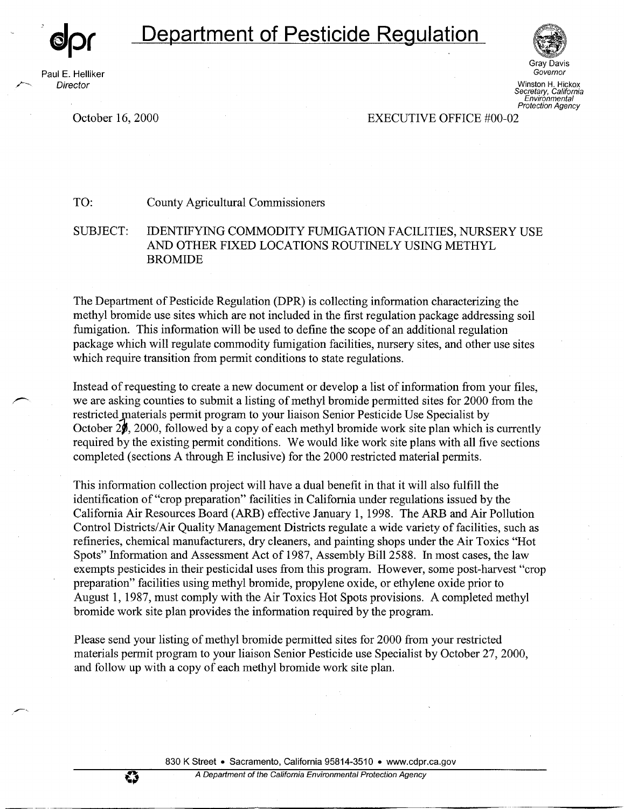

Paul E. Helliker **Director** 

,,,..\_\_\_\_\_\_\_

,,\_.\_

---

♦



Governor Winston H. Hickox Secretary, California Environmental Protection Agency

Gray Davis

October 16, 2000 EXECUTIVE OFFICE #00-02

TO: County Agricultural Commissioners

SUBJECT: IDENTIFYING COMMODITY FUMIGATION FACILITIES, NURSERY USE AND OTHER FIXED LOCATIONS ROUTINELY USING METHYL BROMIDE

The Department of Pesticide Regulation (DPR) is collecting information characterizing the methyl bromide use sites which are not included in the first regulation package addressing soil fumigation. This information will be used to define the scope of an additional regulation package which will regulate commodity fumigation facilities, nursery sites, and other use sites which require transition from permit conditions to state regulations.

Instead of requesting to create a new document or develop a list of information from your files, we are asking counties to submit a listing of methyl bromide permitted sites for 2000 from the restricted materials permit program to your liaison Senior Pesticide Use Specialist by October  $2\rlap{/}$ , 2000, followed by a copy of each methyl bromide work site plan which is currently required by the existing permit conditions. We would like work site plans with all five sections completed (sections A through E inclusive) for the 2000 restricted material permits.

This information collection project will have a dual benefit in that it will also fulfill the identification of "crop preparation" facilities in California under regulations issued by the California Air Resources Board (ARB) effective January 1, 1998. The ARB and Air Pollution Control Districts/ Air Quality Management Districts regulate a wide variety of facilities, such as refineries, chemical manufacturers, dry cleaners, and painting shops under the Air Toxics "Hot Spots" Information and Assessment Act of 1987, Assembly Bill 2588. In most cases, the law exempts pesticides in their pesticidal uses from this program. However, some post-harvest "crop preparation" facilities using methyl bromide, propylene oxide, or ethylene oxide prior to August 1, 1987, must comply with the Air Toxics Hot Spots provisions. A completed methyl bromide work site plan provides the information required by the program.

Please send your listing of methyl bromide permitted sites for 2000 from your restricted materials permit program to your liaison Senior Pesticide use Specialist by October 27, 2000, and follow up with a copy of each methyl bromide work site plan.

830 K Street • Sacramento, California 95814-3510 • www.cdpr.ca.gov